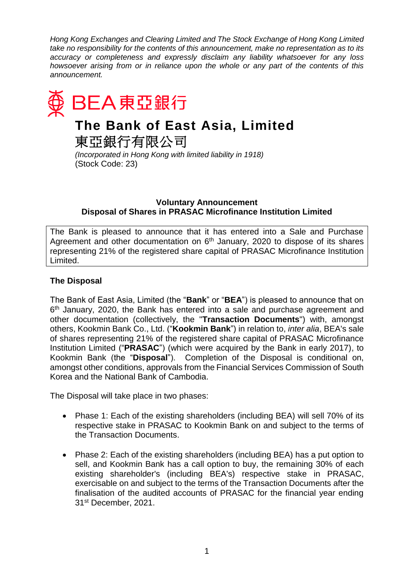*Hong Kong Exchanges and Clearing Limited and The Stock Exchange of Hong Kong Limited take no responsibility for the contents of this announcement, make no representation as to its accuracy or completeness and expressly disclaim any liability whatsoever for any loss howsoever arising from or in reliance upon the whole or any part of the contents of this announcement.* 



## **Voluntary Announcement Disposal of Shares in PRASAC Microfinance Institution Limited**

The Bank is pleased to announce that it has entered into a Sale and Purchase Agreement and other documentation on  $6<sup>th</sup>$  January, 2020 to dispose of its shares representing 21% of the registered share capital of PRASAC Microfinance Institution Limited.

# **The Disposal**

The Bank of East Asia, Limited (the "**Bank**" or "**BEA**") is pleased to announce that on 6<sup>th</sup> January, 2020, the Bank has entered into a sale and purchase agreement and other documentation (collectively, the "**Transaction Documents**") with, amongst others, Kookmin Bank Co., Ltd. ("**Kookmin Bank**") in relation to, *inter alia*, BEA's sale of shares representing 21% of the registered share capital of PRASAC Microfinance Institution Limited ("**PRASAC**") (which were acquired by the Bank in early 2017), to Kookmin Bank (the "**Disposal**"). Completion of the Disposal is conditional on, amongst other conditions, approvals from the Financial Services Commission of South Korea and the National Bank of Cambodia.

The Disposal will take place in two phases:

- Phase 1: Each of the existing shareholders (including BEA) will sell 70% of its respective stake in PRASAC to Kookmin Bank on and subject to the terms of the Transaction Documents.
- Phase 2: Each of the existing shareholders (including BEA) has a put option to sell, and Kookmin Bank has a call option to buy, the remaining 30% of each existing shareholder's (including BEA's) respective stake in PRASAC, exercisable on and subject to the terms of the Transaction Documents after the finalisation of the audited accounts of PRASAC for the financial year ending 31st December, 2021.